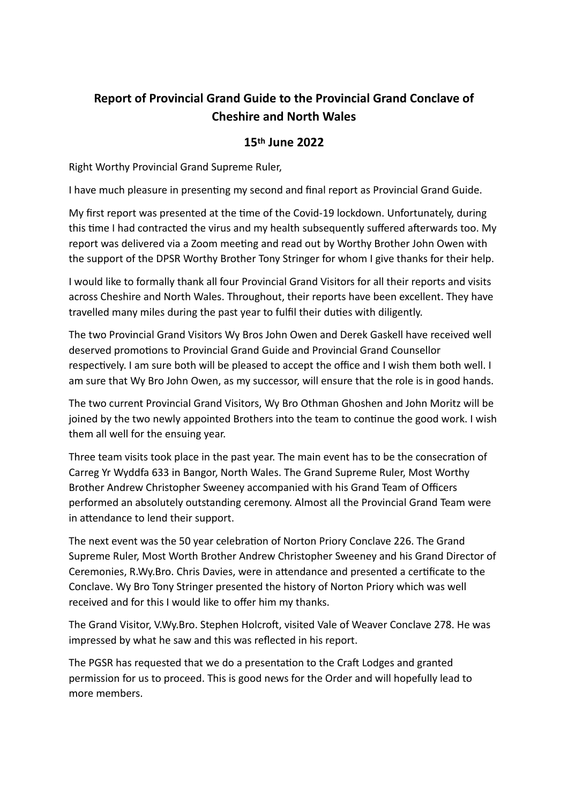## **Report of Provincial Grand Guide to the Provincial Grand Conclave of Cheshire and North Wales**

## **15th June 2022**

Right Worthy Provincial Grand Supreme Ruler,

I have much pleasure in presenting my second and final report as Provincial Grand Guide.

My first report was presented at the time of the Covid-19 lockdown. Unfortunately, during this time I had contracted the virus and my health subsequently suffered afterwards too. My report was delivered via a Zoom meeting and read out by Worthy Brother John Owen with the support of the DPSR Worthy Brother Tony Stringer for whom I give thanks for their help.

I would like to formally thank all four Provincial Grand Visitors for all their reports and visits across Cheshire and North Wales. Throughout, their reports have been excellent. They have travelled many miles during the past year to fulfil their duties with diligently.

The two Provincial Grand Visitors Wy Bros John Owen and Derek Gaskell have received well deserved promotions to Provincial Grand Guide and Provincial Grand Counsellor respectively. I am sure both will be pleased to accept the office and I wish them both well. I am sure that Wy Bro John Owen, as my successor, will ensure that the role is in good hands.

The two current Provincial Grand Visitors, Wy Bro Othman Ghoshen and John Moritz will be joined by the two newly appointed Brothers into the team to continue the good work. I wish them all well for the ensuing year.

Three team visits took place in the past year. The main event has to be the consecration of Carreg Yr Wyddfa 633 in Bangor, North Wales. The Grand Supreme Ruler, Most Worthy Brother Andrew Christopher Sweeney accompanied with his Grand Team of Officers performed an absolutely outstanding ceremony. Almost all the Provincial Grand Team were in attendance to lend their support.

The next event was the 50 year celebration of Norton Priory Conclave 226. The Grand Supreme Ruler, Most Worth Brother Andrew Christopher Sweeney and his Grand Director of Ceremonies, R.Wy.Bro. Chris Davies, were in attendance and presented a certificate to the Conclave. Wy Bro Tony Stringer presented the history of Norton Priory which was well received and for this I would like to offer him my thanks.

The Grand Visitor, V.Wy.Bro. Stephen Holcroft, visited Vale of Weaver Conclave 278. He was impressed by what he saw and this was reflected in his report.

The PGSR has requested that we do a presentation to the Craft Lodges and granted permission for us to proceed. This is good news for the Order and will hopefully lead to more members.